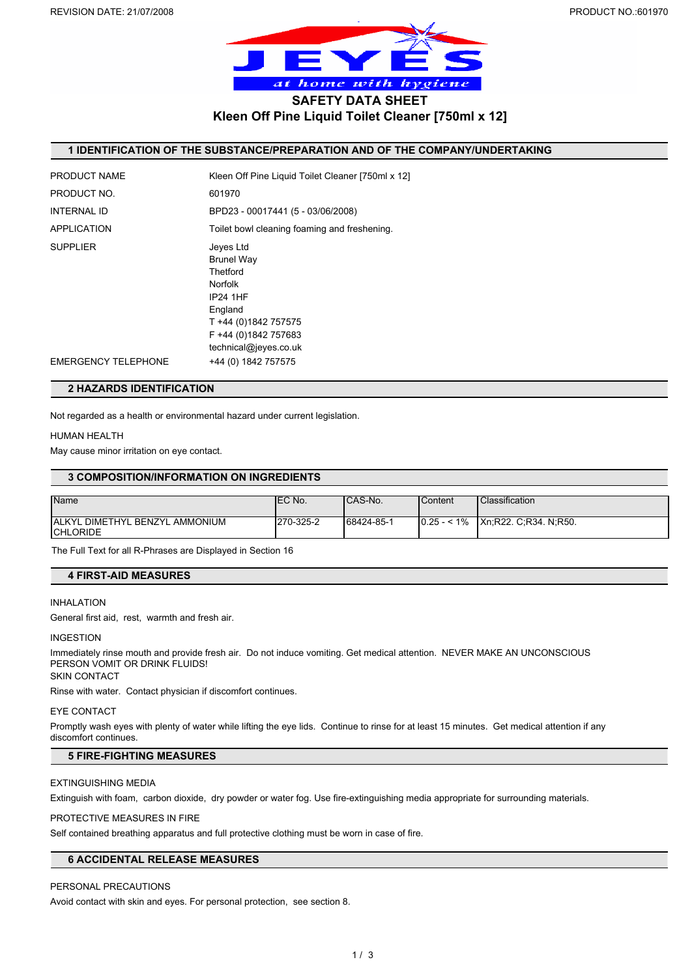

**Kleen Off Pine Liquid Toilet Cleaner [750ml x 12]**

# **1 IDENTIFICATION OF THE SUBSTANCE/PREPARATION AND OF THE COMPANY/UNDERTAKING**

| PRODUCT NAME               | Kleen Off Pine Liquid Toilet Cleaner [750ml x 12]                                                                                                                   |
|----------------------------|---------------------------------------------------------------------------------------------------------------------------------------------------------------------|
| PRODUCT NO.                | 601970                                                                                                                                                              |
| <b>INTERNAL ID</b>         | BPD23 - 00017441 (5 - 03/06/2008)                                                                                                                                   |
| <b>APPLICATION</b>         | Toilet bowl cleaning foaming and freshening.                                                                                                                        |
| <b>SUPPLIER</b>            | Jeves Ltd<br><b>Brunel Way</b><br>Thetford<br><b>Norfolk</b><br><b>IP24 1HF</b><br>England<br>T +44 (0)1842 757575<br>F +44 (0)1842 757683<br>technical@jeyes.co.uk |
| <b>EMERGENCY TELEPHONE</b> | +44 (0) 1842 757575                                                                                                                                                 |
|                            |                                                                                                                                                                     |

# **2 HAZARDS IDENTIFICATION**

Not regarded as a health or environmental hazard under current legislation.

#### HUMAN HEALTH

May cause minor irritation on eye contact.

## **3 COMPOSITION/INFORMATION ON INGREDIENTS**

| <b>Name</b>                            | <b>IEC No.</b> | ICAS-No.   | l Content    | <b>Classification</b> |
|----------------------------------------|----------------|------------|--------------|-----------------------|
|                                        |                |            |              |                       |
|                                        |                |            |              |                       |
| <b>JALKYL DIMETHYL BENZYL AMMONIUM</b> | 270-325-2      | 68424-85-1 | $0.25 - 1\%$ | Xn:R22. C:R34. N:R50. |
|                                        |                |            |              |                       |
| <b>ICHLORIDE</b>                       |                |            |              |                       |

The Full Text for all R-Phrases are Displayed in Section 16

#### **4 FIRST-AID MEASURES**

## INHALATION

General first aid, rest, warmth and fresh air.

### INGESTION

Immediately rinse mouth and provide fresh air. Do not induce vomiting. Get medical attention. NEVER MAKE AN UNCONSCIOUS PERSON VOMIT OR DRINK FLUIDS!

SKIN CONTACT

Rinse with water. Contact physician if discomfort continues.

#### EYE CONTACT

Promptly wash eyes with plenty of water while lifting the eye lids. Continue to rinse for at least 15 minutes. Get medical attention if any discomfort continues.

# **5 FIRE-FIGHTING MEASURES**

## EXTINGUISHING MEDIA

Extinguish with foam, carbon dioxide, dry powder or water fog. Use fire-extinguishing media appropriate for surrounding materials.

#### PROTECTIVE MEASURES IN FIRE

Self contained breathing apparatus and full protective clothing must be worn in case of fire.

# **6 ACCIDENTAL RELEASE MEASURES**

# PERSONAL PRECAUTIONS

Avoid contact with skin and eyes. For personal protection, see section 8.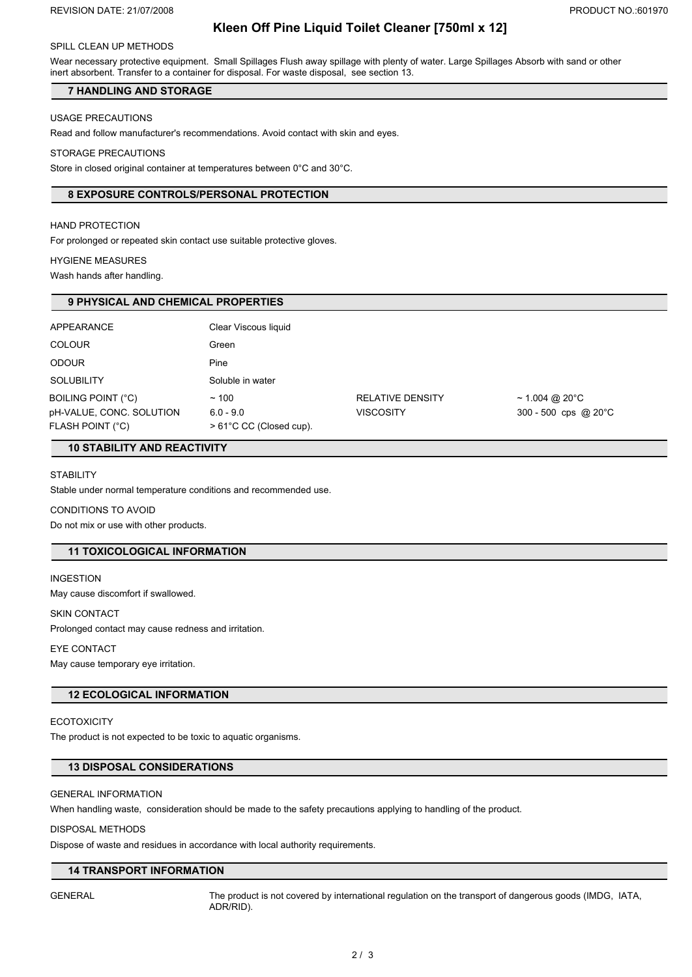# **Kleen Off Pine Liquid Toilet Cleaner [750ml x 12]**

#### SPILL CLEAN UP METHODS

Wear necessary protective equipment. Small Spillages Flush away spillage with plenty of water. Large Spillages Absorb with sand or other inert absorbent. Transfer to a container for disposal. For waste disposal, see section 13.

## **7 HANDLING AND STORAGE**

### USAGE PRECAUTIONS

Read and follow manufacturer's recommendations. Avoid contact with skin and eyes.

#### STORAGE PRECAUTIONS

Store in closed original container at temperatures between 0°C and 30°C.

## **8 EXPOSURE CONTROLS/PERSONAL PROTECTION**

## HAND PROTECTION

For prolonged or repeated skin contact use suitable protective gloves.

#### HYGIENE MEASURES

Wash hands after handling.

## **9 PHYSICAL AND CHEMICAL PROPERTIES**

| <b>APPEARANCE</b>                                                         | Clear Viscous liquid                                     |                                             |                                         |
|---------------------------------------------------------------------------|----------------------------------------------------------|---------------------------------------------|-----------------------------------------|
| <b>COLOUR</b>                                                             | Green                                                    |                                             |                                         |
| <b>ODOUR</b>                                                              | Pine                                                     |                                             |                                         |
| <b>SOLUBILITY</b>                                                         | Soluble in water                                         |                                             |                                         |
| BOILING POINT (°C)<br>pH-VALUE, CONC. SOLUTION<br><b>FLASH POINT (°C)</b> | ~100<br>$6.0 - 9.0$<br>$> 61^{\circ}$ C CC (Closed cup). | <b>RELATIVE DENSITY</b><br><b>VISCOSITY</b> | ~ 1.004 @ 20°C<br>300 - 500 cps @ 20 °C |
|                                                                           |                                                          |                                             |                                         |

# **10 STABILITY AND REACTIVITY**

### **STABILITY**

Stable under normal temperature conditions and recommended use.

#### CONDITIONS TO AVOID

Do not mix or use with other products.

# **11 TOXICOLOGICAL INFORMATION**

#### INGESTION

May cause discomfort if swallowed.

#### SKIN CONTACT

Prolonged contact may cause redness and irritation.

# EYE CONTACT

May cause temporary eye irritation.

# **12 ECOLOGICAL INFORMATION**

#### **ECOTOXICITY**

The product is not expected to be toxic to aquatic organisms.

## **13 DISPOSAL CONSIDERATIONS**

# GENERAL INFORMATION

When handling waste, consideration should be made to the safety precautions applying to handling of the product.

#### DISPOSAL METHODS

Dispose of waste and residues in accordance with local authority requirements.

# **14 TRANSPORT INFORMATION**

GENERAL The product is not covered by international regulation on the transport of dangerous goods (IMDG, IATA, ADR/RID).